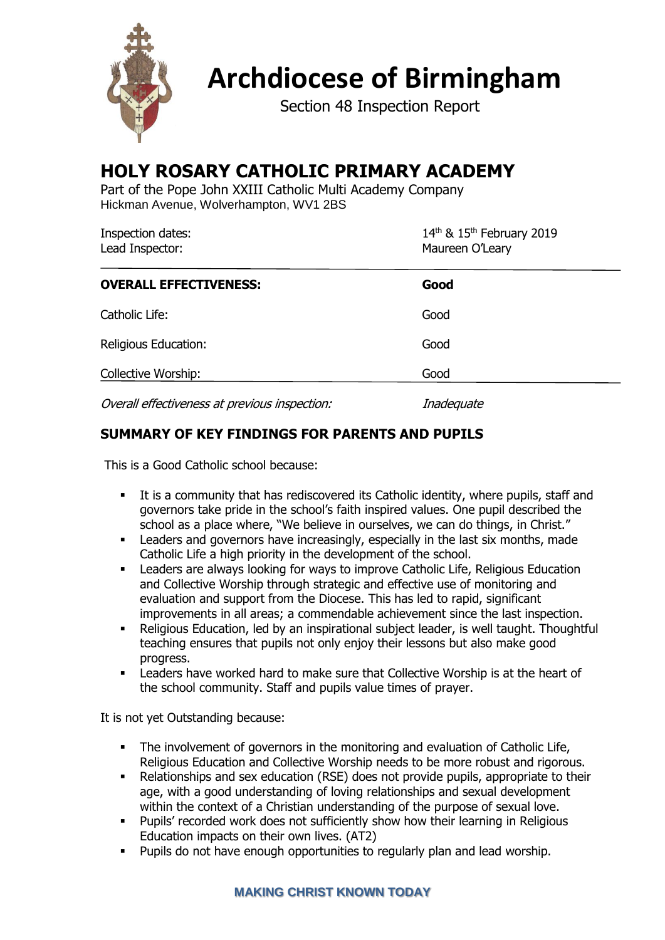

**Archdiocese of Birmingham**

Section 48 Inspection Report

# **HOLY ROSARY CATHOLIC PRIMARY ACADEMY**

Part of the Pope John XXIII Catholic Multi Academy Company Hickman Avenue, Wolverhampton, WV1 2BS

| Inspection dates:<br>Lead Inspector: | 14 <sup>th</sup> & 15 <sup>th</sup> February 2019<br>Maureen O'Leary |  |
|--------------------------------------|----------------------------------------------------------------------|--|
| <b>OVERALL EFFECTIVENESS:</b>        | Good                                                                 |  |
| Catholic Life:                       | Good                                                                 |  |
| <b>Religious Education:</b>          | Good                                                                 |  |
| Collective Worship:                  | Good                                                                 |  |
| $\sim$ $\mu$ $\sim$ $\mu$            |                                                                      |  |

Overall effectiveness at previous inspection: Inadequate

# **SUMMARY OF KEY FINDINGS FOR PARENTS AND PUPILS**

This is a Good Catholic school because:

- **EXTE:** It is a community that has rediscovered its Catholic identity, where pupils, staff and governors take pride in the school's faith inspired values. One pupil described the school as a place where, "We believe in ourselves, we can do things, in Christ."
- **EXECTE 1** Leaders and governors have increasingly, especially in the last six months, made Catholic Life a high priority in the development of the school.
- Leaders are always looking for ways to improve Catholic Life, Religious Education and Collective Worship through strategic and effective use of monitoring and evaluation and support from the Diocese. This has led to rapid, significant improvements in all areas; a commendable achievement since the last inspection.
- Religious Education, led by an inspirational subject leader, is well taught. Thoughtful teaching ensures that pupils not only enjoy their lessons but also make good progress.
- Leaders have worked hard to make sure that Collective Worship is at the heart of the school community. Staff and pupils value times of prayer.

It is not yet Outstanding because:

- **•** The involvement of governors in the monitoring and evaluation of Catholic Life, Religious Education and Collective Worship needs to be more robust and rigorous.
- Relationships and sex education (RSE) does not provide pupils, appropriate to their age, with a good understanding of loving relationships and sexual development within the context of a Christian understanding of the purpose of sexual love.
- Pupils' recorded work does not sufficiently show how their learning in Religious Education impacts on their own lives. (AT2)
- **•** Pupils do not have enough opportunities to regularly plan and lead worship.

#### **MAKING CHRIST KNOWN TODAY**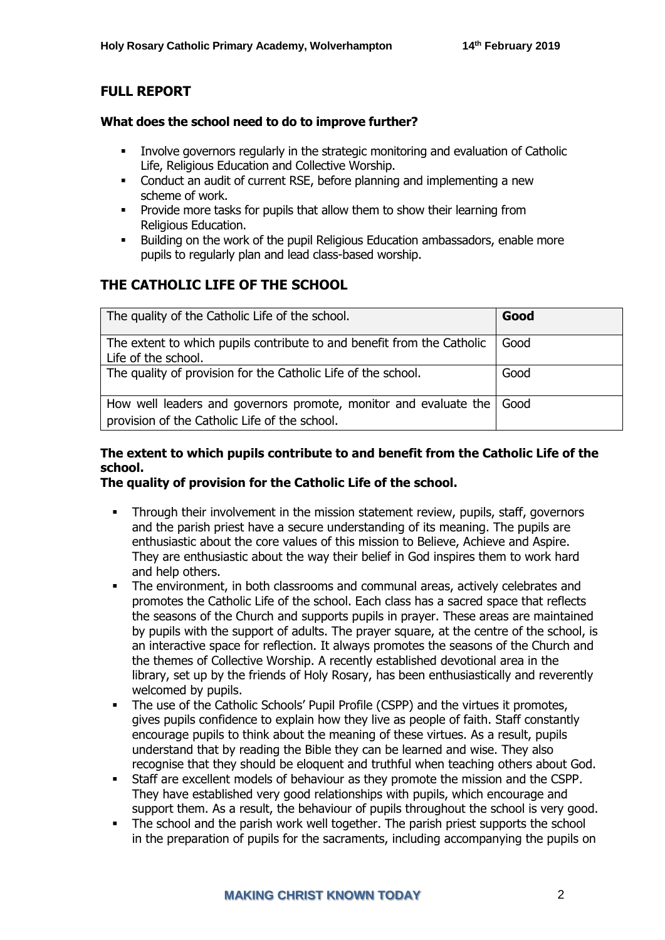# **FULL REPORT**

### **What does the school need to do to improve further?**

- Involve governors regularly in the strategic monitoring and evaluation of Catholic Life, Religious Education and Collective Worship.
- Conduct an audit of current RSE, before planning and implementing a new scheme of work.
- Provide more tasks for pupils that allow them to show their learning from Religious Education.
- Building on the work of the pupil Religious Education ambassadors, enable more pupils to regularly plan and lead class-based worship.

# **THE CATHOLIC LIFE OF THE SCHOOL**

| The quality of the Catholic Life of the school.                                                                   | Good |
|-------------------------------------------------------------------------------------------------------------------|------|
| The extent to which pupils contribute to and benefit from the Catholic<br>Life of the school.                     | Good |
| The quality of provision for the Catholic Life of the school.                                                     | Good |
| How well leaders and governors promote, monitor and evaluate the<br>provision of the Catholic Life of the school. | Good |

### **The extent to which pupils contribute to and benefit from the Catholic Life of the school.**

### **The quality of provision for the Catholic Life of the school.**

- Through their involvement in the mission statement review, pupils, staff, governors and the parish priest have a secure understanding of its meaning. The pupils are enthusiastic about the core values of this mission to Believe, Achieve and Aspire. They are enthusiastic about the way their belief in God inspires them to work hard and help others.
- The environment, in both classrooms and communal areas, actively celebrates and promotes the Catholic Life of the school. Each class has a sacred space that reflects the seasons of the Church and supports pupils in prayer. These areas are maintained by pupils with the support of adults. The prayer square, at the centre of the school, is an interactive space for reflection. It always promotes the seasons of the Church and the themes of Collective Worship. A recently established devotional area in the library, set up by the friends of Holy Rosary, has been enthusiastically and reverently welcomed by pupils.
- The use of the Catholic Schools' Pupil Profile (CSPP) and the virtues it promotes, gives pupils confidence to explain how they live as people of faith. Staff constantly encourage pupils to think about the meaning of these virtues. As a result, pupils understand that by reading the Bible they can be learned and wise. They also recognise that they should be eloquent and truthful when teaching others about God.
- Staff are excellent models of behaviour as they promote the mission and the CSPP. They have established very good relationships with pupils, which encourage and support them. As a result, the behaviour of pupils throughout the school is very good.
- The school and the parish work well together. The parish priest supports the school in the preparation of pupils for the sacraments, including accompanying the pupils on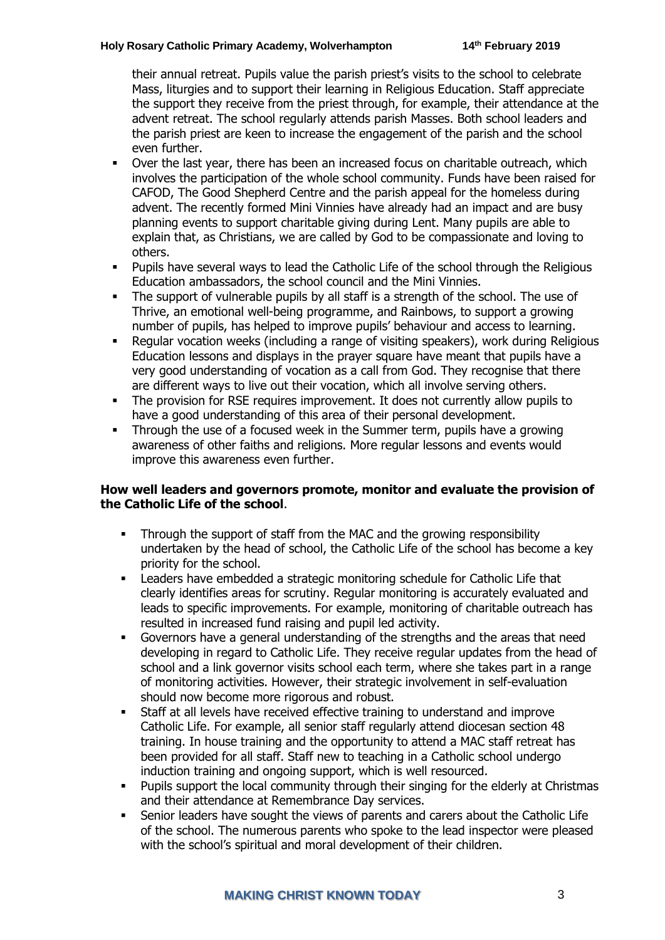#### **Holy Rosary Catholic Primary Academy, Wolverhampton 14th February 2019**

their annual retreat. Pupils value the parish priest's visits to the school to celebrate Mass, liturgies and to support their learning in Religious Education. Staff appreciate the support they receive from the priest through, for example, their attendance at the advent retreat. The school regularly attends parish Masses. Both school leaders and the parish priest are keen to increase the engagement of the parish and the school even further.

- Over the last year, there has been an increased focus on charitable outreach, which involves the participation of the whole school community. Funds have been raised for CAFOD, The Good Shepherd Centre and the parish appeal for the homeless during advent. The recently formed Mini Vinnies have already had an impact and are busy planning events to support charitable giving during Lent. Many pupils are able to explain that, as Christians, we are called by God to be compassionate and loving to others.
- Pupils have several ways to lead the Catholic Life of the school through the Religious Education ambassadors, the school council and the Mini Vinnies.
- The support of vulnerable pupils by all staff is a strength of the school. The use of Thrive, an emotional well-being programme, and Rainbows, to support a growing number of pupils, has helped to improve pupils' behaviour and access to learning.
- Regular vocation weeks (including a range of visiting speakers), work during Religious Education lessons and displays in the prayer square have meant that pupils have a very good understanding of vocation as a call from God. They recognise that there are different ways to live out their vocation, which all involve serving others.
- The provision for RSE requires improvement. It does not currently allow pupils to have a good understanding of this area of their personal development.
- Through the use of a focused week in the Summer term, pupils have a growing awareness of other faiths and religions. More regular lessons and events would improve this awareness even further.

### **How well leaders and governors promote, monitor and evaluate the provision of the Catholic Life of the school**.

- **•** Through the support of staff from the MAC and the growing responsibility undertaken by the head of school, the Catholic Life of the school has become a key priority for the school.
- Leaders have embedded a strategic monitoring schedule for Catholic Life that clearly identifies areas for scrutiny. Regular monitoring is accurately evaluated and leads to specific improvements. For example, monitoring of charitable outreach has resulted in increased fund raising and pupil led activity.
- Governors have a general understanding of the strengths and the areas that need developing in regard to Catholic Life. They receive regular updates from the head of school and a link governor visits school each term, where she takes part in a range of monitoring activities. However, their strategic involvement in self-evaluation should now become more rigorous and robust.
- Staff at all levels have received effective training to understand and improve Catholic Life. For example, all senior staff regularly attend diocesan section 48 training. In house training and the opportunity to attend a MAC staff retreat has been provided for all staff. Staff new to teaching in a Catholic school undergo induction training and ongoing support, which is well resourced.
- Pupils support the local community through their singing for the elderly at Christmas and their attendance at Remembrance Day services.
- Senior leaders have sought the views of parents and carers about the Catholic Life of the school. The numerous parents who spoke to the lead inspector were pleased with the school's spiritual and moral development of their children.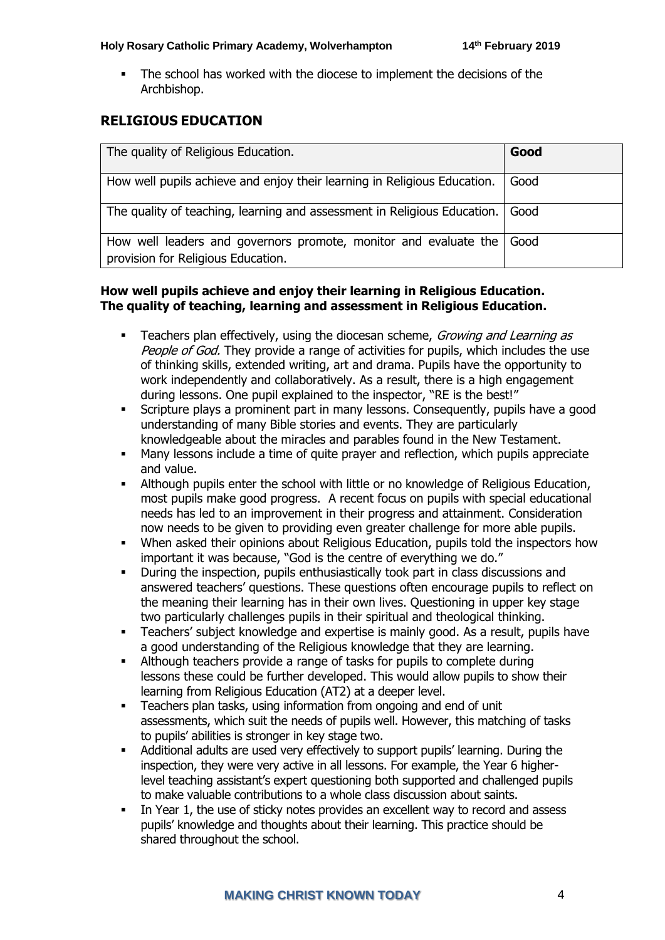#### **Holy Rosary Catholic Primary Academy, Wolverhampton 14th February 2019**

The school has worked with the diocese to implement the decisions of the Archbishop.

# **RELIGIOUS EDUCATION**

| The quality of Religious Education.                                                                    | Good |
|--------------------------------------------------------------------------------------------------------|------|
| How well pupils achieve and enjoy their learning in Religious Education.                               | Good |
| The quality of teaching, learning and assessment in Religious Education.                               | Good |
| How well leaders and governors promote, monitor and evaluate the<br>provision for Religious Education. | Good |

### **How well pupils achieve and enjoy their learning in Religious Education. The quality of teaching, learning and assessment in Religious Education.**

- Teachers plan effectively, using the diocesan scheme, Growing and Learning as People of God. They provide a range of activities for pupils, which includes the use of thinking skills, extended writing, art and drama. Pupils have the opportunity to work independently and collaboratively. As a result, there is a high engagement during lessons. One pupil explained to the inspector, "RE is the best!"
- Scripture plays a prominent part in many lessons. Consequently, pupils have a good understanding of many Bible stories and events. They are particularly knowledgeable about the miracles and parables found in the New Testament.
- **■** Many lessons include a time of quite prayer and reflection, which pupils appreciate and value.
- Although pupils enter the school with little or no knowledge of Religious Education, most pupils make good progress. A recent focus on pupils with special educational needs has led to an improvement in their progress and attainment. Consideration now needs to be given to providing even greater challenge for more able pupils.
- When asked their opinions about Religious Education, pupils told the inspectors how important it was because, "God is the centre of everything we do."
- During the inspection, pupils enthusiastically took part in class discussions and answered teachers' questions. These questions often encourage pupils to reflect on the meaning their learning has in their own lives. Questioning in upper key stage two particularly challenges pupils in their spiritual and theological thinking.
- Teachers' subject knowledge and expertise is mainly good. As a result, pupils have a good understanding of the Religious knowledge that they are learning.
- Although teachers provide a range of tasks for pupils to complete during lessons these could be further developed. This would allow pupils to show their learning from Religious Education (AT2) at a deeper level.
- **EXECT** Teachers plan tasks, using information from ongoing and end of unit assessments, which suit the needs of pupils well. However, this matching of tasks to pupils' abilities is stronger in key stage two.
- Additional adults are used very effectively to support pupils' learning. During the inspection, they were very active in all lessons. For example, the Year 6 higherlevel teaching assistant's expert questioning both supported and challenged pupils to make valuable contributions to a whole class discussion about saints.
- **•** In Year 1, the use of sticky notes provides an excellent way to record and assess pupils' knowledge and thoughts about their learning. This practice should be shared throughout the school.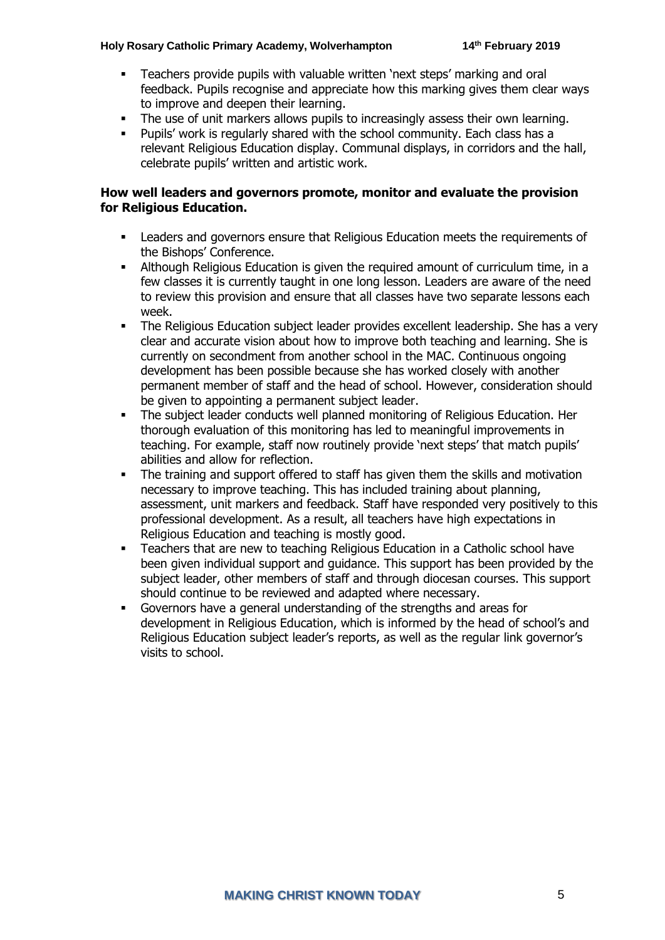- Teachers provide pupils with valuable written 'next steps' marking and oral feedback. Pupils recognise and appreciate how this marking gives them clear ways to improve and deepen their learning.
- The use of unit markers allows pupils to increasingly assess their own learning.
- Pupils' work is regularly shared with the school community. Each class has a relevant Religious Education display. Communal displays, in corridors and the hall, celebrate pupils' written and artistic work.

### **How well leaders and governors promote, monitor and evaluate the provision for Religious Education.**

- Leaders and governors ensure that Religious Education meets the requirements of the Bishops' Conference.
- Although Religious Education is given the required amount of curriculum time, in a few classes it is currently taught in one long lesson. Leaders are aware of the need to review this provision and ensure that all classes have two separate lessons each week.
- The Religious Education subject leader provides excellent leadership. She has a very clear and accurate vision about how to improve both teaching and learning. She is currently on secondment from another school in the MAC. Continuous ongoing development has been possible because she has worked closely with another permanent member of staff and the head of school. However, consideration should be given to appointing a permanent subject leader.
- The subject leader conducts well planned monitoring of Religious Education. Her thorough evaluation of this monitoring has led to meaningful improvements in teaching. For example, staff now routinely provide 'next steps' that match pupils' abilities and allow for reflection.
- **•** The training and support offered to staff has given them the skills and motivation necessary to improve teaching. This has included training about planning, assessment, unit markers and feedback. Staff have responded very positively to this professional development. As a result, all teachers have high expectations in Religious Education and teaching is mostly good.
- Teachers that are new to teaching Religious Education in a Catholic school have been given individual support and guidance. This support has been provided by the subject leader, other members of staff and through diocesan courses. This support should continue to be reviewed and adapted where necessary.
- Governors have a general understanding of the strengths and areas for development in Religious Education, which is informed by the head of school's and Religious Education subject leader's reports, as well as the regular link governor's visits to school.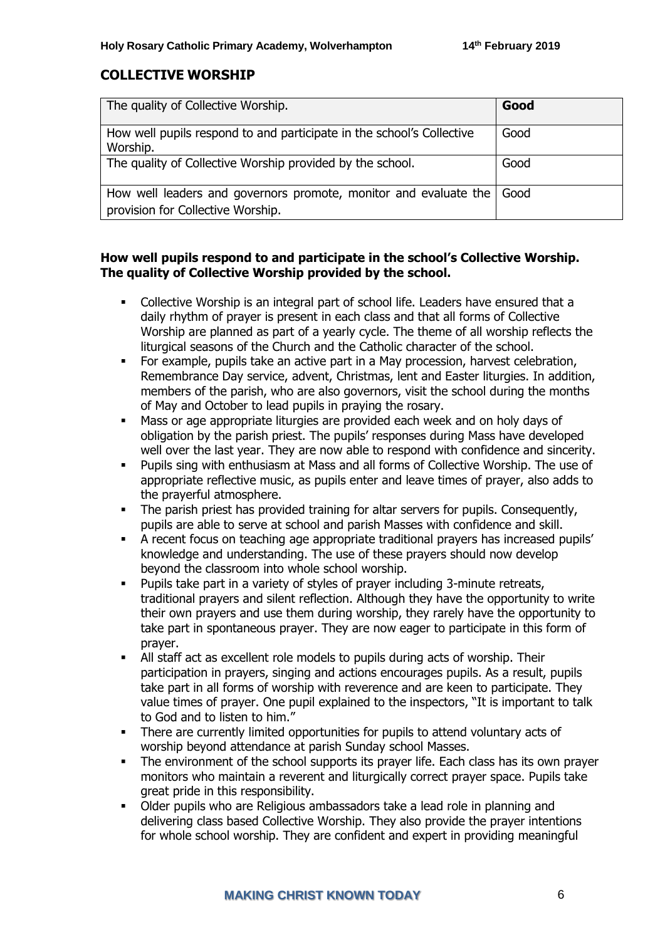### **COLLECTIVE WORSHIP**

| The quality of Collective Worship.                                                                    | Good |
|-------------------------------------------------------------------------------------------------------|------|
| How well pupils respond to and participate in the school's Collective<br>Worship.                     | Good |
| The quality of Collective Worship provided by the school.                                             | Good |
| How well leaders and governors promote, monitor and evaluate the<br>provision for Collective Worship. | Good |

### **How well pupils respond to and participate in the school's Collective Worship. The quality of Collective Worship provided by the school.**

- Collective Worship is an integral part of school life. Leaders have ensured that a daily rhythm of prayer is present in each class and that all forms of Collective Worship are planned as part of a yearly cycle. The theme of all worship reflects the liturgical seasons of the Church and the Catholic character of the school.
- For example, pupils take an active part in a May procession, harvest celebration, Remembrance Day service, advent, Christmas, lent and Easter liturgies. In addition, members of the parish, who are also governors, visit the school during the months of May and October to lead pupils in praying the rosary.
- **■** Mass or age appropriate liturgies are provided each week and on holy days of obligation by the parish priest. The pupils' responses during Mass have developed well over the last year. They are now able to respond with confidence and sincerity.
- Pupils sing with enthusiasm at Mass and all forms of Collective Worship. The use of appropriate reflective music, as pupils enter and leave times of prayer, also adds to the prayerful atmosphere.
- **•** The parish priest has provided training for altar servers for pupils. Consequently, pupils are able to serve at school and parish Masses with confidence and skill.
- A recent focus on teaching age appropriate traditional prayers has increased pupils' knowledge and understanding. The use of these prayers should now develop beyond the classroom into whole school worship.
- Pupils take part in a variety of styles of prayer including 3-minute retreats, traditional prayers and silent reflection. Although they have the opportunity to write their own prayers and use them during worship, they rarely have the opportunity to take part in spontaneous prayer. They are now eager to participate in this form of prayer.
- All staff act as excellent role models to pupils during acts of worship. Their participation in prayers, singing and actions encourages pupils. As a result, pupils take part in all forms of worship with reverence and are keen to participate. They value times of prayer. One pupil explained to the inspectors, "It is important to talk to God and to listen to him."
- There are currently limited opportunities for pupils to attend voluntary acts of worship beyond attendance at parish Sunday school Masses.
- The environment of the school supports its prayer life. Each class has its own prayer monitors who maintain a reverent and liturgically correct prayer space. Pupils take great pride in this responsibility.
- Older pupils who are Religious ambassadors take a lead role in planning and delivering class based Collective Worship. They also provide the prayer intentions for whole school worship. They are confident and expert in providing meaningful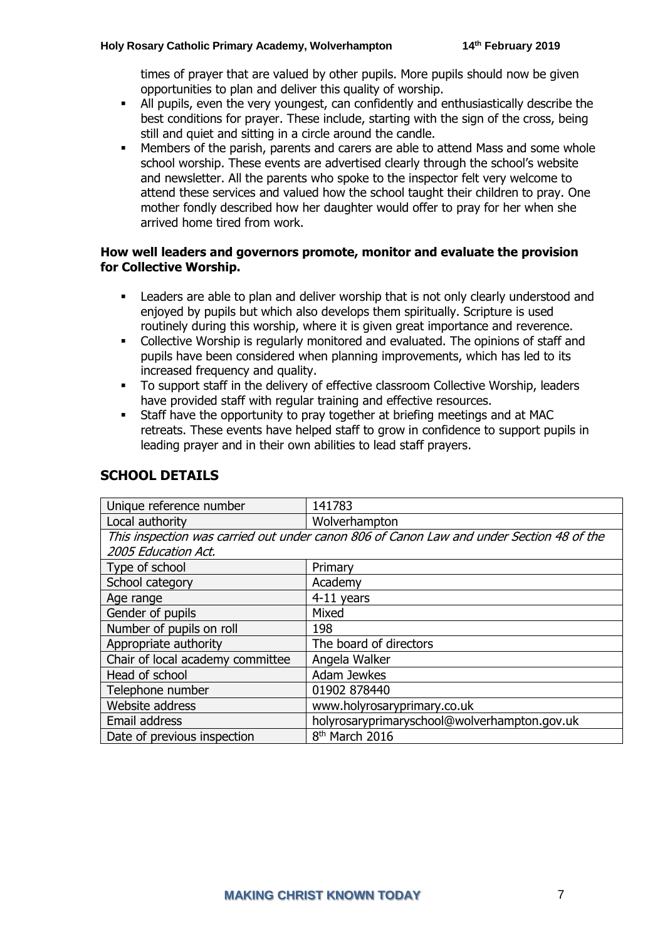#### **Holy Rosary Catholic Primary Academy, Wolverhampton 14th February 2019**

times of prayer that are valued by other pupils. More pupils should now be given opportunities to plan and deliver this quality of worship.

- All pupils, even the very youngest, can confidently and enthusiastically describe the best conditions for prayer. These include, starting with the sign of the cross, being still and quiet and sitting in a circle around the candle.
- Members of the parish, parents and carers are able to attend Mass and some whole school worship. These events are advertised clearly through the school's website and newsletter. All the parents who spoke to the inspector felt very welcome to attend these services and valued how the school taught their children to pray. One mother fondly described how her daughter would offer to pray for her when she arrived home tired from work.

#### **How well leaders and governors promote, monitor and evaluate the provision for Collective Worship.**

- **EXECT** Leaders are able to plan and deliver worship that is not only clearly understood and enjoyed by pupils but which also develops them spiritually. Scripture is used routinely during this worship, where it is given great importance and reverence.
- Collective Worship is regularly monitored and evaluated. The opinions of staff and pupils have been considered when planning improvements, which has led to its increased frequency and quality.
- To support staff in the delivery of effective classroom Collective Worship, leaders have provided staff with regular training and effective resources.
- Staff have the opportunity to pray together at briefing meetings and at MAC retreats. These events have helped staff to grow in confidence to support pupils in leading prayer and in their own abilities to lead staff prayers.

| Unique reference number                                                                  | 141783                                       |  |
|------------------------------------------------------------------------------------------|----------------------------------------------|--|
| Local authority                                                                          | Wolverhampton                                |  |
| This inspection was carried out under canon 806 of Canon Law and under Section 48 of the |                                              |  |
| 2005 Education Act.                                                                      |                                              |  |
| Type of school                                                                           | Primary                                      |  |
| School category                                                                          | Academy                                      |  |
| Age range                                                                                | 4-11 years                                   |  |
| Gender of pupils                                                                         | Mixed                                        |  |
| Number of pupils on roll                                                                 | 198                                          |  |
| Appropriate authority                                                                    | The board of directors                       |  |
| Chair of local academy committee                                                         | Angela Walker                                |  |
| Head of school                                                                           | Adam Jewkes                                  |  |
| Telephone number                                                                         | 01902 878440                                 |  |
| Website address                                                                          | www.holyrosaryprimary.co.uk                  |  |
| Email address                                                                            | holyrosaryprimaryschool@wolverhampton.gov.uk |  |
| Date of previous inspection                                                              | 8 <sup>th</sup> March 2016                   |  |

### **SCHOOL DETAILS**